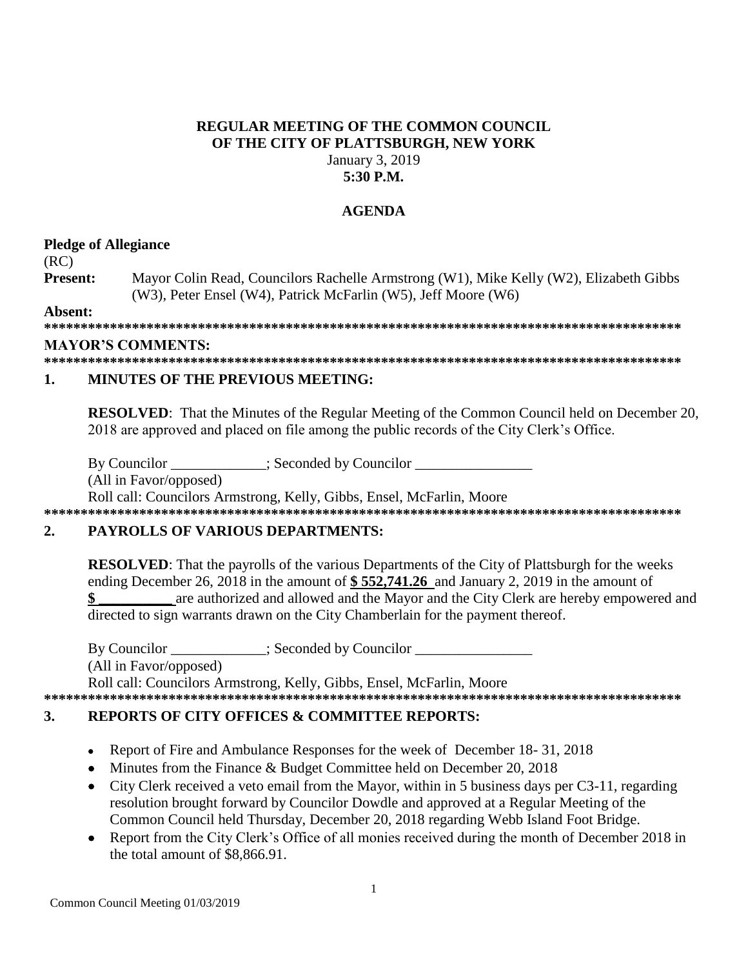## **REGULAR MEETING OF THE COMMON COUNCIL OF THE CITY OF PLATTSBURGH, NEW YORK** January 3, 2019 **5:30 P.M.**

# **AGENDA**

### **Pledge of Allegiance**

(RC)

**Present:** Mayor Colin Read, Councilors Rachelle Armstrong (W1), Mike Kelly (W2), Elizabeth Gibbs (W3), Peter Ensel (W4), Patrick McFarlin (W5), Jeff Moore (W6)

**Absent:**

**\*\*\*\*\*\*\*\*\*\*\*\*\*\*\*\*\*\*\*\*\*\*\*\*\*\*\*\*\*\*\*\*\*\*\*\*\*\*\*\*\*\*\*\*\*\*\*\*\*\*\*\*\*\*\*\*\*\*\*\*\*\*\*\*\*\*\*\*\*\*\*\*\*\*\*\*\*\*\*\*\*\*\*\*\*\*\***

### **MAYOR'S COMMENTS:**

**\*\*\*\*\*\*\*\*\*\*\*\*\*\*\*\*\*\*\*\*\*\*\*\*\*\*\*\*\*\*\*\*\*\*\*\*\*\*\*\*\*\*\*\*\*\*\*\*\*\*\*\*\*\*\*\*\*\*\*\*\*\*\*\*\*\*\*\*\*\*\*\*\*\*\*\*\*\*\*\*\*\*\*\*\*\*\***

## **1. MINUTES OF THE PREVIOUS MEETING:**

**RESOLVED:** That the Minutes of the Regular Meeting of the Common Council held on December 20, 2018 are approved and placed on file among the public records of the City Clerk's Office.

By Councilor  $\qquad \qquad$ : Seconded by Councilor

(All in Favor/opposed)

Roll call: Councilors Armstrong, Kelly, Gibbs, Ensel, McFarlin, Moore

# **\*\*\*\*\*\*\*\*\*\*\*\*\*\*\*\*\*\*\*\*\*\*\*\*\*\*\*\*\*\*\*\*\*\*\*\*\*\*\*\*\*\*\*\*\*\*\*\*\*\*\*\*\*\*\*\*\*\*\*\*\*\*\*\*\*\*\*\*\*\*\*\*\*\*\*\*\*\*\*\*\*\*\*\*\*\*\***

## **2. PAYROLLS OF VARIOUS DEPARTMENTS:**

**RESOLVED**: That the payrolls of the various Departments of the City of Plattsburgh for the weeks ending December 26, 2018 in the amount of **\$ 552,741.26** and January 2, 2019 in the amount of **\$ \_\_\_\_\_\_\_\_\_\_** are authorized and allowed and the Mayor and the City Clerk are hereby empowered and directed to sign warrants drawn on the City Chamberlain for the payment thereof.

By Councilor \_\_\_\_\_\_\_\_\_\_\_; Seconded by Councilor \_\_\_\_\_\_\_\_\_\_\_\_\_\_\_\_\_\_\_\_\_\_\_\_\_\_\_\_\_\_\_\_ (All in Favor/opposed) Roll call: Councilors Armstrong, Kelly, Gibbs, Ensel, McFarlin, Moore **\*\*\*\*\*\*\*\*\*\*\*\*\*\*\*\*\*\*\*\*\*\*\*\*\*\*\*\*\*\*\*\*\*\*\*\*\*\*\*\*\*\*\*\*\*\*\*\*\*\*\*\*\*\*\*\*\*\*\*\*\*\*\*\*\*\*\*\*\*\*\*\*\*\*\*\*\*\*\*\*\*\*\*\*\*\*\***

# **3. REPORTS OF CITY OFFICES & COMMITTEE REPORTS:**

- Report of Fire and Ambulance Responses for the week of December 18-31, 2018
- Minutes from the Finance & Budget Committee held on December 20, 2018
- City Clerk received a veto email from the Mayor, within in 5 business days per C3-11, regarding resolution brought forward by Councilor Dowdle and approved at a Regular Meeting of the Common Council held Thursday, December 20, 2018 regarding Webb Island Foot Bridge.
- Report from the City Clerk's Office of all monies received during the month of December 2018 in the total amount of \$8,866.91.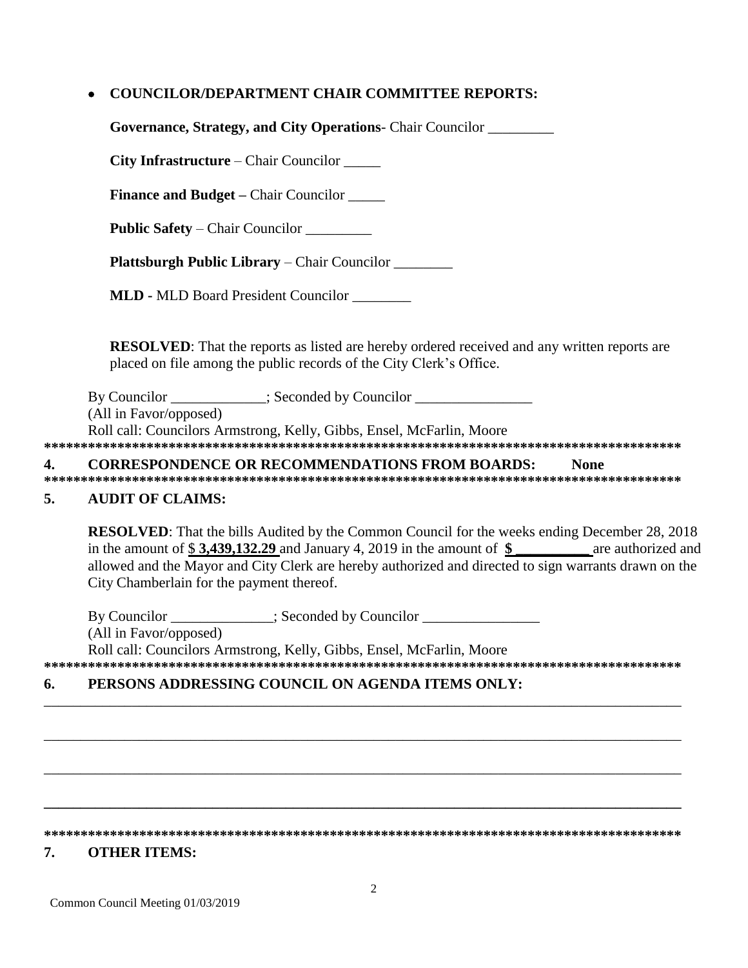# **COUNCILOR/DEPARTMENT CHAIR COMMITTEE REPORTS:**

**Governance, Strategy, and City Operations**- Chair Councilor \_\_\_\_\_\_\_\_\_

**City Infrastructure** – Chair Councilor \_\_\_\_\_

**Finance and Budget – Chair Councilor \_\_\_\_\_** 

**Public Safety** – Chair Councilor \_\_\_\_\_\_\_\_\_

**Plattsburgh Public Library** – Chair Councilor \_\_\_\_\_\_\_\_

**MLD -** MLD Board President Councilor \_\_\_\_\_\_\_\_

**RESOLVED**: That the reports as listed are hereby ordered received and any written reports are placed on file among the public records of the City Clerk's Office.

By Councilor \_\_\_\_\_\_\_\_\_\_\_; Seconded by Councilor \_\_\_\_\_\_\_\_\_\_\_\_\_\_\_\_\_\_\_\_\_\_\_\_\_\_\_\_\_\_\_\_ (All in Favor/opposed) Roll call: Councilors Armstrong, Kelly, Gibbs, Ensel, McFarlin, Moore

**\*\*\*\*\*\*\*\*\*\*\*\*\*\*\*\*\*\*\*\*\*\*\*\*\*\*\*\*\*\*\*\*\*\*\*\*\*\*\*\*\*\*\*\*\*\*\*\*\*\*\*\*\*\*\*\*\*\*\*\*\*\*\*\*\*\*\*\*\*\*\*\*\*\*\*\*\*\*\*\*\*\*\*\*\*\*\***

#### **4. CORRESPONDENCE OR RECOMMENDATIONS FROM BOARDS: None**

**\*\*\*\*\*\*\*\*\*\*\*\*\*\*\*\*\*\*\*\*\*\*\*\*\*\*\*\*\*\*\*\*\*\*\*\*\*\*\*\*\*\*\*\*\*\*\*\*\*\*\*\*\*\*\*\*\*\*\*\*\*\*\*\*\*\*\*\*\*\*\*\*\*\*\*\*\*\*\*\*\*\*\*\*\*\*\***

# **5. AUDIT OF CLAIMS:**

**RESOLVED**: That the bills Audited by the Common Council for the weeks ending December 28, 2018 in the amount of \$3,439,132.29 and January 4, 2019 in the amount of \$ are authorized and allowed and the Mayor and City Clerk are hereby authorized and directed to sign warrants drawn on the City Chamberlain for the payment thereof.

By Councilor  $\qquad \qquad$  ; Seconded by Councilor  $\qquad \qquad$ (All in Favor/opposed) Roll call: Councilors Armstrong, Kelly, Gibbs, Ensel, McFarlin, Moore **\*\*\*\*\*\*\*\*\*\*\*\*\*\*\*\*\*\*\*\*\*\*\*\*\*\*\*\*\*\*\*\*\*\*\*\*\*\*\*\*\*\*\*\*\*\*\*\*\*\*\*\*\*\*\*\*\*\*\*\*\*\*\*\*\*\*\*\*\*\*\*\*\*\*\*\*\*\*\*\*\*\*\*\*\*\*\***

## **6. PERSONS ADDRESSING COUNCIL ON AGENDA ITEMS ONLY:**

**\*\*\*\*\*\*\*\*\*\*\*\*\*\*\*\*\*\*\*\*\*\*\*\*\*\*\*\*\*\*\*\*\*\*\*\*\*\*\*\*\*\*\*\*\*\*\*\*\*\*\*\*\*\*\*\*\*\*\*\*\*\*\*\*\*\*\*\*\*\*\*\*\*\*\*\*\*\*\*\*\*\*\*\*\*\*\*** 

\_\_\_\_\_\_\_\_\_\_\_\_\_\_\_\_\_\_\_\_\_\_\_\_\_\_\_\_\_\_\_\_\_\_\_\_\_\_\_\_\_\_\_\_\_\_\_\_\_\_\_\_\_\_\_\_\_\_\_\_\_\_\_\_\_\_\_\_\_\_\_\_\_\_\_\_\_\_\_\_\_\_\_\_\_\_\_

\_\_\_\_\_\_\_\_\_\_\_\_\_\_\_\_\_\_\_\_\_\_\_\_\_\_\_\_\_\_\_\_\_\_\_\_\_\_\_\_\_\_\_\_\_\_\_\_\_\_\_\_\_\_\_\_\_\_\_\_\_\_\_\_\_\_\_\_\_\_\_\_\_\_\_\_\_\_\_\_\_\_\_\_\_\_\_

\_\_\_\_\_\_\_\_\_\_\_\_\_\_\_\_\_\_\_\_\_\_\_\_\_\_\_\_\_\_\_\_\_\_\_\_\_\_\_\_\_\_\_\_\_\_\_\_\_\_\_\_\_\_\_\_\_\_\_\_\_\_\_\_\_\_\_\_\_\_\_\_\_\_\_\_\_\_\_\_\_\_\_\_\_\_\_

**\_\_\_\_\_\_\_\_\_\_\_\_\_\_\_\_\_\_\_\_\_\_\_\_\_\_\_\_\_\_\_\_\_\_\_\_\_\_\_\_\_\_\_\_\_\_\_\_\_\_\_\_\_\_\_\_\_\_\_\_\_\_\_\_\_\_\_\_\_\_\_\_\_\_\_\_\_\_\_\_\_\_\_\_\_\_\_**

## **7. OTHER ITEMS:**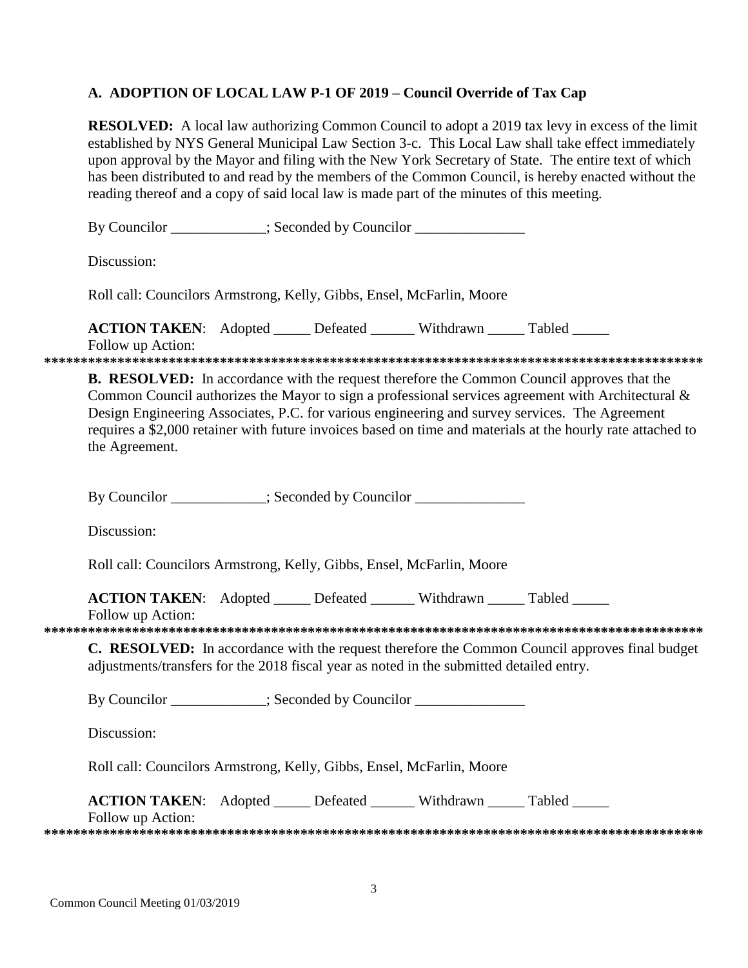# A. ADOPTION OF LOCAL LAW P-1 OF 2019 - Council Override of Tax Cap

**RESOLVED:** A local law authorizing Common Council to adopt a 2019 tax levy in excess of the limit established by NYS General Municipal Law Section 3-c. This Local Law shall take effect immediately upon approval by the Mayor and filing with the New York Secretary of State. The entire text of which has been distributed to and read by the members of the Common Council, is hereby enacted without the reading thereof and a copy of said local law is made part of the minutes of this meeting.

| By Councilor ___________; Seconded by Councilor ______________                                                                                                                                                                                                                                                                                                                                                                             |
|--------------------------------------------------------------------------------------------------------------------------------------------------------------------------------------------------------------------------------------------------------------------------------------------------------------------------------------------------------------------------------------------------------------------------------------------|
| Discussion:                                                                                                                                                                                                                                                                                                                                                                                                                                |
| Roll call: Councilors Armstrong, Kelly, Gibbs, Ensel, McFarlin, Moore                                                                                                                                                                                                                                                                                                                                                                      |
| <b>ACTION TAKEN:</b> Adopted _____ Defeated ______ Withdrawn _____ Tabled _____<br>Follow up Action:                                                                                                                                                                                                                                                                                                                                       |
| <b>B. RESOLVED:</b> In accordance with the request therefore the Common Council approves that the<br>Common Council authorizes the Mayor to sign a professional services agreement with Architectural &<br>Design Engineering Associates, P.C. for various engineering and survey services. The Agreement<br>requires a \$2,000 retainer with future invoices based on time and materials at the hourly rate attached to<br>the Agreement. |
| By Councilor __________; Seconded by Councilor ______________                                                                                                                                                                                                                                                                                                                                                                              |
| Discussion:                                                                                                                                                                                                                                                                                                                                                                                                                                |
| Roll call: Councilors Armstrong, Kelly, Gibbs, Ensel, McFarlin, Moore                                                                                                                                                                                                                                                                                                                                                                      |
| <b>ACTION TAKEN:</b> Adopted _____ Defeated ______ Withdrawn _____ Tabled _____<br>Follow up Action:                                                                                                                                                                                                                                                                                                                                       |
| C. RESOLVED: In accordance with the request therefore the Common Council approves final budget<br>adjustments/transfers for the 2018 fiscal year as noted in the submitted detailed entry.                                                                                                                                                                                                                                                 |
| By Councilor ___________; Seconded by Councilor ________________________________                                                                                                                                                                                                                                                                                                                                                           |
| Discussion:                                                                                                                                                                                                                                                                                                                                                                                                                                |
| Roll call: Councilors Armstrong, Kelly, Gibbs, Ensel, McFarlin, Moore                                                                                                                                                                                                                                                                                                                                                                      |
| ACTION TAKEN: Adopted _____ Defeated ______ Withdrawn _____ Tabled _____<br>Follow up Action:                                                                                                                                                                                                                                                                                                                                              |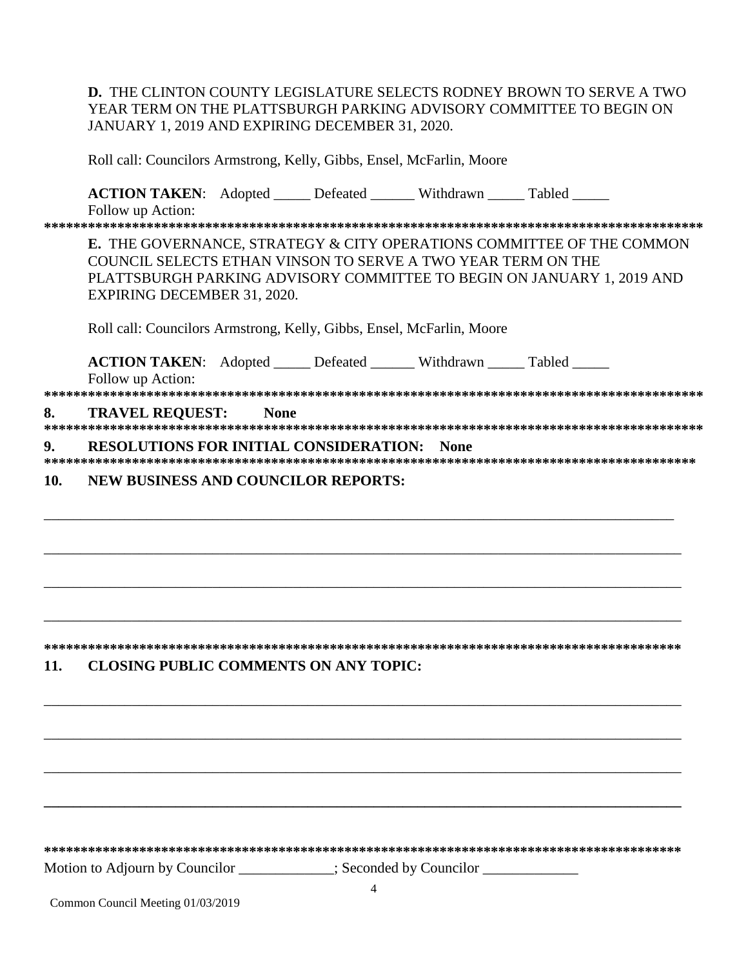**D.** THE CLINTON COUNTY LEGISLATURE SELECTS RODNEY BROWN TO SERVE A TWO YEAR TERM ON THE PLATTSBURGH PARKING ADVISORY COMMITTEE TO BEGIN ON JANUARY 1, 2019 AND EXPIRING DECEMBER 31, 2020.

Roll call: Councilors Armstrong, Kelly, Gibbs, Ensel, McFarlin, Moore

**ACTION TAKEN:** Adopted Defeated Withdrawn Tabled Follow up Action:

**\*\*\*\*\*\*\*\*\*\*\*\*\*\*\*\*\*\*\*\*\*\*\*\*\*\*\*\*\*\*\*\*\*\*\*\*\*\*\*\*\*\*\*\*\*\*\*\*\*\*\*\*\*\*\*\*\*\*\*\*\*\*\*\*\*\*\*\*\*\*\*\*\*\*\*\*\*\*\*\*\*\*\*\*\*\*\*\*\*\***

**E.** THE GOVERNANCE, STRATEGY & CITY OPERATIONS COMMITTEE OF THE COMMON COUNCIL SELECTS ETHAN VINSON TO SERVE A TWO YEAR TERM ON THE PLATTSBURGH PARKING ADVISORY COMMITTEE TO BEGIN ON JANUARY 1, 2019 AND EXPIRING DECEMBER 31, 2020.

Roll call: Councilors Armstrong, Kelly, Gibbs, Ensel, McFarlin, Moore

**ACTION TAKEN:** Adopted Defeated Withdrawn Tabled

Follow up Action: **\*\*\*\*\*\*\*\*\*\*\*\*\*\*\*\*\*\*\*\*\*\*\*\*\*\*\*\*\*\*\*\*\*\*\*\*\*\*\*\*\*\*\*\*\*\*\*\*\*\*\*\*\*\*\*\*\*\*\*\*\*\*\*\*\*\*\*\*\*\*\*\*\*\*\*\*\*\*\*\*\*\*\*\*\*\*\*\*\*\* 8. TRAVEL REQUEST: None \*\*\*\*\*\*\*\*\*\*\*\*\*\*\*\*\*\*\*\*\*\*\*\*\*\*\*\*\*\*\*\*\*\*\*\*\*\*\*\*\*\*\*\*\*\*\*\*\*\*\*\*\*\*\*\*\*\*\*\*\*\*\*\*\*\*\*\*\*\*\*\*\*\*\*\*\*\*\*\*\*\*\*\*\*\*\*\*\*\***

### **9. RESOLUTIONS FOR INITIAL CONSIDERATION: None**

**\*\*\*\*\*\*\*\*\*\*\*\*\*\*\*\*\*\*\*\*\*\*\*\*\*\*\*\*\*\*\*\*\*\*\*\*\*\*\*\*\*\*\*\*\*\*\*\*\*\*\*\*\*\*\*\*\*\*\*\*\*\*\*\*\*\*\*\*\*\*\*\*\*\*\*\*\*\*\*\*\*\*\*\*\*\*\*\*\***

\_\_\_\_\_\_\_\_\_\_\_\_\_\_\_\_\_\_\_\_\_\_\_\_\_\_\_\_\_\_\_\_\_\_\_\_\_\_\_\_\_\_\_\_\_\_\_\_\_\_\_\_\_\_\_\_\_\_\_\_\_\_\_\_\_\_\_\_\_\_\_\_\_\_\_\_\_\_\_\_\_\_\_\_\_\_

\_\_\_\_\_\_\_\_\_\_\_\_\_\_\_\_\_\_\_\_\_\_\_\_\_\_\_\_\_\_\_\_\_\_\_\_\_\_\_\_\_\_\_\_\_\_\_\_\_\_\_\_\_\_\_\_\_\_\_\_\_\_\_\_\_\_\_\_\_\_\_\_\_\_\_\_\_\_\_\_\_\_\_\_\_\_\_

\_\_\_\_\_\_\_\_\_\_\_\_\_\_\_\_\_\_\_\_\_\_\_\_\_\_\_\_\_\_\_\_\_\_\_\_\_\_\_\_\_\_\_\_\_\_\_\_\_\_\_\_\_\_\_\_\_\_\_\_\_\_\_\_\_\_\_\_\_\_\_\_\_\_\_\_\_\_\_\_\_\_\_\_\_\_\_

\_\_\_\_\_\_\_\_\_\_\_\_\_\_\_\_\_\_\_\_\_\_\_\_\_\_\_\_\_\_\_\_\_\_\_\_\_\_\_\_\_\_\_\_\_\_\_\_\_\_\_\_\_\_\_\_\_\_\_\_\_\_\_\_\_\_\_\_\_\_\_\_\_\_\_\_\_\_\_\_\_\_\_\_\_\_\_

**\*\*\*\*\*\*\*\*\*\*\*\*\*\*\*\*\*\*\*\*\*\*\*\*\*\*\*\*\*\*\*\*\*\*\*\*\*\*\*\*\*\*\*\*\*\*\*\*\*\*\*\*\*\*\*\*\*\*\*\*\*\*\*\*\*\*\*\*\*\*\*\*\*\*\*\*\*\*\*\*\*\*\*\*\*\*\*** 

\_\_\_\_\_\_\_\_\_\_\_\_\_\_\_\_\_\_\_\_\_\_\_\_\_\_\_\_\_\_\_\_\_\_\_\_\_\_\_\_\_\_\_\_\_\_\_\_\_\_\_\_\_\_\_\_\_\_\_\_\_\_\_\_\_\_\_\_\_\_\_\_\_\_\_\_\_\_\_\_\_\_\_\_\_\_\_

\_\_\_\_\_\_\_\_\_\_\_\_\_\_\_\_\_\_\_\_\_\_\_\_\_\_\_\_\_\_\_\_\_\_\_\_\_\_\_\_\_\_\_\_\_\_\_\_\_\_\_\_\_\_\_\_\_\_\_\_\_\_\_\_\_\_\_\_\_\_\_\_\_\_\_\_\_\_\_\_\_\_\_\_\_\_\_

\_\_\_\_\_\_\_\_\_\_\_\_\_\_\_\_\_\_\_\_\_\_\_\_\_\_\_\_\_\_\_\_\_\_\_\_\_\_\_\_\_\_\_\_\_\_\_\_\_\_\_\_\_\_\_\_\_\_\_\_\_\_\_\_\_\_\_\_\_\_\_\_\_\_\_\_\_\_\_\_\_\_\_\_\_\_\_

**\_\_\_\_\_\_\_\_\_\_\_\_\_\_\_\_\_\_\_\_\_\_\_\_\_\_\_\_\_\_\_\_\_\_\_\_\_\_\_\_\_\_\_\_\_\_\_\_\_\_\_\_\_\_\_\_\_\_\_\_\_\_\_\_\_\_\_\_\_\_\_\_\_\_\_\_\_\_\_\_\_\_\_\_\_\_\_**

**10. NEW BUSINESS AND COUNCILOR REPORTS:** 

# **11. CLOSING PUBLIC COMMENTS ON ANY TOPIC:**

**\*\*\*\*\*\*\*\*\*\*\*\*\*\*\*\*\*\*\*\*\*\*\*\*\*\*\*\*\*\*\*\*\*\*\*\*\*\*\*\*\*\*\*\*\*\*\*\*\*\*\*\*\*\*\*\*\*\*\*\*\*\*\*\*\*\*\*\*\*\*\*\*\*\*\*\*\*\*\*\*\*\*\*\*\*\*\*** Motion to Adjourn by Councilor \_\_\_\_\_\_\_\_\_\_; Seconded by Councilor \_\_\_\_\_\_\_\_\_\_\_\_\_\_\_

Common Council Meeting 01/03/2019